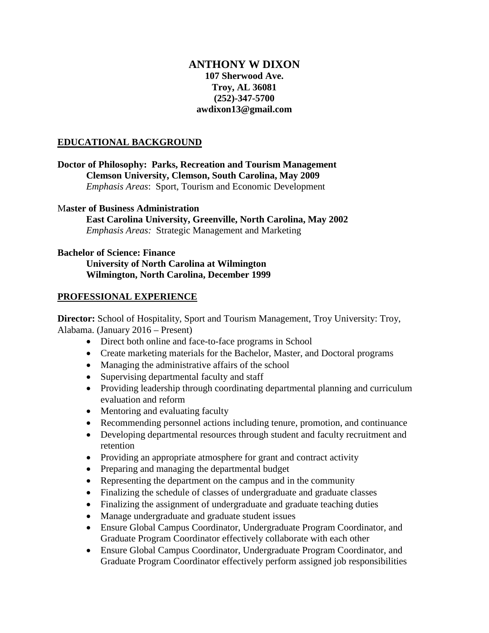# **ANTHONY W DIXON 107 Sherwood Ave. Troy, AL 36081 (252)-347-5700 awdixon13@gmail.com**

### **EDUCATIONAL BACKGROUND**

**Doctor of Philosophy: Parks, Recreation and Tourism Management Clemson University, Clemson, South Carolina, May 2009** *Emphasis Areas*: Sport, Tourism and Economic Development

#### M**aster of Business Administration**

**East Carolina University, Greenville, North Carolina, May 2002** *Emphasis Areas:* Strategic Management and Marketing

#### **Bachelor of Science: Finance**

**University of North Carolina at Wilmington Wilmington, North Carolina, December 1999**

### **PROFESSIONAL EXPERIENCE**

**Director:** School of Hospitality, Sport and Tourism Management, Troy University: Troy, Alabama. (January 2016 – Present)

- Direct both online and face-to-face programs in School
- Create marketing materials for the Bachelor, Master, and Doctoral programs
- Managing the administrative affairs of the school
- Supervising departmental faculty and staff
- Providing leadership through coordinating departmental planning and curriculum evaluation and reform
- Mentoring and evaluating faculty
- Recommending personnel actions including tenure, promotion, and continuance
- Developing departmental resources through student and faculty recruitment and retention
- Providing an appropriate atmosphere for grant and contract activity
- Preparing and managing the departmental budget
- Representing the department on the campus and in the community
- Finalizing the schedule of classes of undergraduate and graduate classes
- Finalizing the assignment of undergraduate and graduate teaching duties
- Manage undergraduate and graduate student issues
- Ensure Global Campus Coordinator, Undergraduate Program Coordinator, and Graduate Program Coordinator effectively collaborate with each other
- Ensure Global Campus Coordinator, Undergraduate Program Coordinator, and Graduate Program Coordinator effectively perform assigned job responsibilities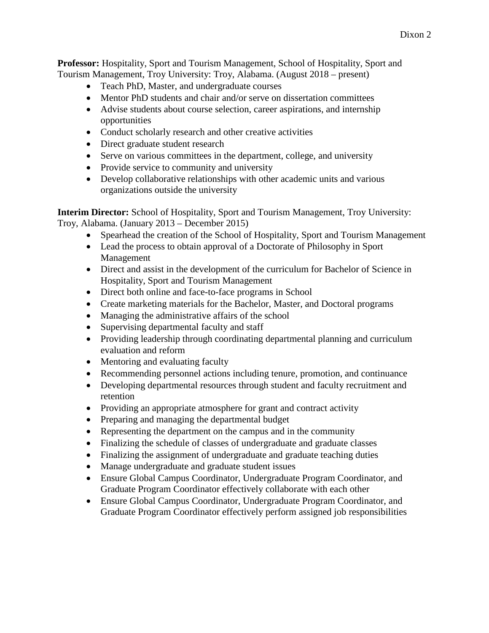**Professor:** Hospitality, Sport and Tourism Management, School of Hospitality, Sport and Tourism Management, Troy University: Troy, Alabama. (August 2018 – present)

- Teach PhD, Master, and undergraduate courses
- Mentor PhD students and chair and/or serve on dissertation committees
- Advise students about course selection, career aspirations, and internship opportunities
- Conduct scholarly research and other creative activities
- Direct graduate student research
- Serve on various committees in the department, college, and university
- Provide service to community and university
- Develop collaborative relationships with other academic units and various organizations outside the university

**Interim Director:** School of Hospitality, Sport and Tourism Management, Troy University: Troy, Alabama. (January 2013 – December 2015)

- Spearhead the creation of the School of Hospitality, Sport and Tourism Management
- Lead the process to obtain approval of a Doctorate of Philosophy in Sport Management
- Direct and assist in the development of the curriculum for Bachelor of Science in Hospitality, Sport and Tourism Management
- Direct both online and face-to-face programs in School
- Create marketing materials for the Bachelor, Master, and Doctoral programs
- Managing the administrative affairs of the school
- Supervising departmental faculty and staff
- Providing leadership through coordinating departmental planning and curriculum evaluation and reform
- Mentoring and evaluating faculty
- Recommending personnel actions including tenure, promotion, and continuance
- Developing departmental resources through student and faculty recruitment and retention
- Providing an appropriate atmosphere for grant and contract activity
- Preparing and managing the departmental budget
- Representing the department on the campus and in the community
- Finalizing the schedule of classes of undergraduate and graduate classes
- Finalizing the assignment of undergraduate and graduate teaching duties
- Manage undergraduate and graduate student issues
- Ensure Global Campus Coordinator, Undergraduate Program Coordinator, and Graduate Program Coordinator effectively collaborate with each other
- Ensure Global Campus Coordinator, Undergraduate Program Coordinator, and Graduate Program Coordinator effectively perform assigned job responsibilities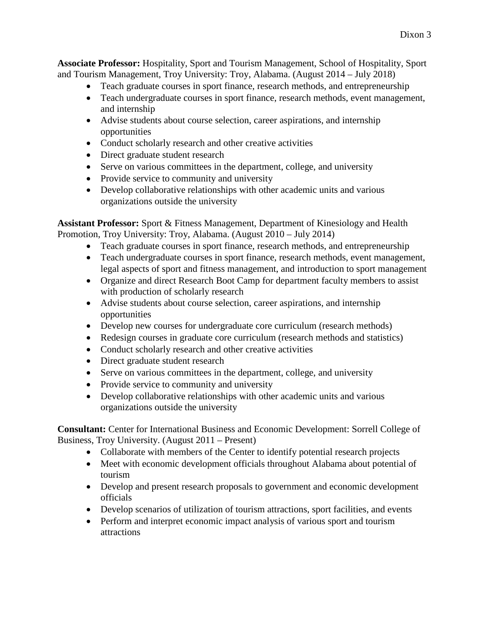**Associate Professor:** Hospitality, Sport and Tourism Management, School of Hospitality, Sport and Tourism Management, Troy University: Troy, Alabama. (August 2014 – July 2018)

- Teach graduate courses in sport finance, research methods, and entrepreneurship
- Teach undergraduate courses in sport finance, research methods, event management, and internship
- Advise students about course selection, career aspirations, and internship opportunities
- Conduct scholarly research and other creative activities
- Direct graduate student research
- Serve on various committees in the department, college, and university
- Provide service to community and university
- Develop collaborative relationships with other academic units and various organizations outside the university

**Assistant Professor:** Sport & Fitness Management, Department of Kinesiology and Health Promotion, Troy University: Troy, Alabama. (August 2010 – July 2014)

- Teach graduate courses in sport finance, research methods, and entrepreneurship
- Teach undergraduate courses in sport finance, research methods, event management, legal aspects of sport and fitness management, and introduction to sport management
- Organize and direct Research Boot Camp for department faculty members to assist with production of scholarly research
- Advise students about course selection, career aspirations, and internship opportunities
- Develop new courses for undergraduate core curriculum (research methods)
- Redesign courses in graduate core curriculum (research methods and statistics)
- Conduct scholarly research and other creative activities
- Direct graduate student research
- Serve on various committees in the department, college, and university
- Provide service to community and university
- Develop collaborative relationships with other academic units and various organizations outside the university

**Consultant:** Center for International Business and Economic Development: Sorrell College of Business, Troy University. (August 2011 – Present)

- Collaborate with members of the Center to identify potential research projects
- Meet with economic development officials throughout Alabama about potential of tourism
- Develop and present research proposals to government and economic development officials
- Develop scenarios of utilization of tourism attractions, sport facilities, and events
- Perform and interpret economic impact analysis of various sport and tourism attractions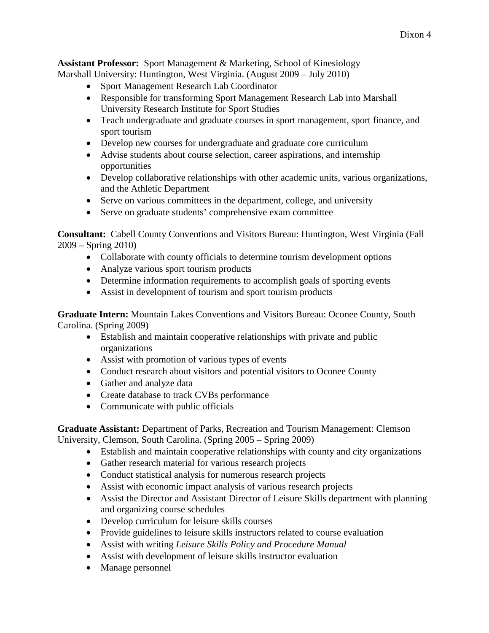**Assistant Professor:** Sport Management & Marketing, School of Kinesiology Marshall University: Huntington, West Virginia. (August 2009 – July 2010)

- Sport Management Research Lab Coordinator
- Responsible for transforming Sport Management Research Lab into Marshall University Research Institute for Sport Studies
- Teach undergraduate and graduate courses in sport management, sport finance, and sport tourism
- Develop new courses for undergraduate and graduate core curriculum
- Advise students about course selection, career aspirations, and internship opportunities
- Develop collaborative relationships with other academic units, various organizations, and the Athletic Department
- Serve on various committees in the department, college, and university
- Serve on graduate students' comprehensive exam committee

**Consultant:** Cabell County Conventions and Visitors Bureau: Huntington, West Virginia (Fall 2009 – Spring 2010)

- Collaborate with county officials to determine tourism development options
- Analyze various sport tourism products
- Determine information requirements to accomplish goals of sporting events
- Assist in development of tourism and sport tourism products

**Graduate Intern:** Mountain Lakes Conventions and Visitors Bureau: Oconee County, South Carolina. (Spring 2009)

- Establish and maintain cooperative relationships with private and public organizations
- Assist with promotion of various types of events
- Conduct research about visitors and potential visitors to Oconee County
- Gather and analyze data
- Create database to track CVBs performance
- Communicate with public officials

**Graduate Assistant:** Department of Parks, Recreation and Tourism Management: Clemson University, Clemson, South Carolina. (Spring 2005 – Spring 2009)

- Establish and maintain cooperative relationships with county and city organizations
- Gather research material for various research projects
- Conduct statistical analysis for numerous research projects
- Assist with economic impact analysis of various research projects
- Assist the Director and Assistant Director of Leisure Skills department with planning and organizing course schedules
- Develop curriculum for leisure skills courses
- Provide guidelines to leisure skills instructors related to course evaluation
- Assist with writing *Leisure Skills Policy and Procedure Manual*
- Assist with development of leisure skills instructor evaluation
- Manage personnel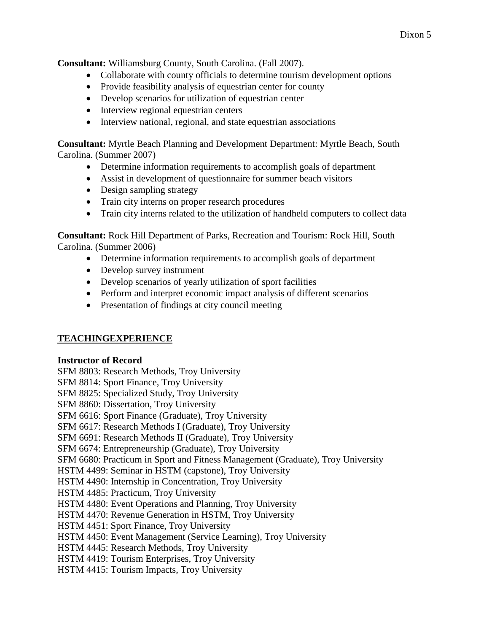**Consultant:** Williamsburg County, South Carolina. (Fall 2007).

- Collaborate with county officials to determine tourism development options
- Provide feasibility analysis of equestrian center for county
- Develop scenarios for utilization of equestrian center
- Interview regional equestrian centers
- Interview national, regional, and state equestrian associations

**Consultant:** Myrtle Beach Planning and Development Department: Myrtle Beach, South Carolina. (Summer 2007)

- Determine information requirements to accomplish goals of department
- Assist in development of questionnaire for summer beach visitors
- Design sampling strategy
- Train city interns on proper research procedures
- Train city interns related to the utilization of handheld computers to collect data

**Consultant:** Rock Hill Department of Parks, Recreation and Tourism: Rock Hill, South Carolina. (Summer 2006)

- Determine information requirements to accomplish goals of department
- Develop survey instrument
- Develop scenarios of yearly utilization of sport facilities
- Perform and interpret economic impact analysis of different scenarios
- Presentation of findings at city council meeting

### **TEACHINGEXPERIENCE**

### **Instructor of Record**

SFM 8803: Research Methods, Troy University

SFM 8814: Sport Finance, Troy University

SFM 8825: Specialized Study, Troy University

SFM 8860: Dissertation, Troy University

SFM 6616: Sport Finance (Graduate), Troy University

SFM 6617: Research Methods I (Graduate), Troy University

SFM 6691: Research Methods II (Graduate), Troy University

SFM 6674: Entrepreneurship (Graduate), Troy University

SFM 6680: Practicum in Sport and Fitness Management (Graduate), Troy University

HSTM 4499: Seminar in HSTM (capstone), Troy University

HSTM 4490: Internship in Concentration, Troy University

HSTM 4485: Practicum, Troy University

HSTM 4480: Event Operations and Planning, Troy University

HSTM 4470: Revenue Generation in HSTM, Troy University

HSTM 4451: Sport Finance, Troy University

HSTM 4450: Event Management (Service Learning), Troy University

HSTM 4445: Research Methods, Troy University

HSTM 4419: Tourism Enterprises, Troy University

HSTM 4415: Tourism Impacts, Troy University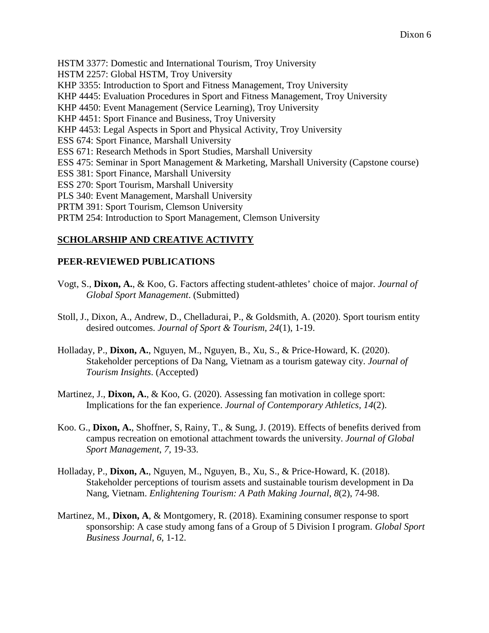HSTM 3377: Domestic and International Tourism, Troy University HSTM 2257: Global HSTM, Troy University KHP 3355: Introduction to Sport and Fitness Management, Troy University KHP 4445: Evaluation Procedures in Sport and Fitness Management, Troy University KHP 4450: Event Management (Service Learning), Troy University KHP 4451: Sport Finance and Business, Troy University KHP 4453: Legal Aspects in Sport and Physical Activity, Troy University ESS 674: Sport Finance, Marshall University ESS 671: Research Methods in Sport Studies, Marshall University ESS 475: Seminar in Sport Management & Marketing, Marshall University (Capstone course) ESS 381: Sport Finance, Marshall University ESS 270: Sport Tourism, Marshall University PLS 340: Event Management, Marshall University PRTM 391: Sport Tourism, Clemson University PRTM 254: Introduction to Sport Management, Clemson University

# **SCHOLARSHIP AND CREATIVE ACTIVITY**

### **PEER-REVIEWED PUBLICATIONS**

- Vogt, S., **Dixon, A.**, & Koo, G. Factors affecting student-athletes' choice of major. *Journal of Global Sport Management*. (Submitted)
- Stoll, J., Dixon, A., Andrew, D., Chelladurai, P., & Goldsmith, A. (2020). Sport tourism entity desired outcomes. *Journal of Sport & Tourism*, *24*(1), 1-19.
- Holladay, P., **Dixon, A.**, Nguyen, M., Nguyen, B., Xu, S., & Price-Howard, K. (2020). Stakeholder perceptions of Da Nang, Vietnam as a tourism gateway city. *Journal of Tourism Insights*. (Accepted)
- Martinez, J., **Dixon, A.**, & Koo, G. (2020). Assessing fan motivation in college sport: Implications for the fan experience. *Journal of Contemporary Athletics, 14*(2).
- Koo. G., **Dixon, A.**, Shoffner, S, Rainy, T., & Sung, J. (2019). Effects of benefits derived from campus recreation on emotional attachment towards the university. *Journal of Global Sport Management*, *7,* 19-33.
- Holladay, P., **Dixon, A.**, Nguyen, M., Nguyen, B., Xu, S., & Price-Howard, K. (2018). Stakeholder perceptions of tourism assets and sustainable tourism development in Da Nang, Vietnam. *Enlightening Tourism: A Path Making Journal*, *8*(2), 74-98.
- Martinez, M., **Dixon, A**, & Montgomery, R. (2018). Examining consumer response to sport sponsorship: A case study among fans of a Group of 5 Division I program. *Global Sport Business Journal*, *6*, 1-12.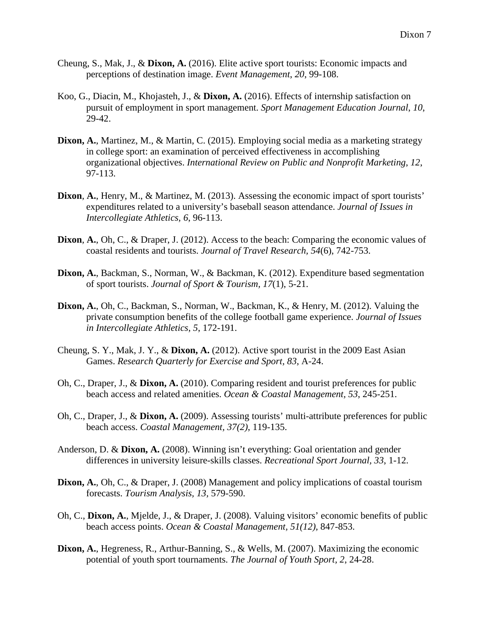- Cheung, S., Mak, J., & **Dixon, A.** (2016). Elite active sport tourists: Economic impacts and perceptions of destination image. *Event Management*, *20*, 99-108.
- Koo, G., Diacin, M., Khojasteh, J., & **Dixon, A.** (2016). Effects of internship satisfaction on pursuit of employment in sport management. *Sport Management Education Journal*, *10*, 29-42.
- **Dixon, A.**, Martinez, M., & Martin, C. (2015). Employing social media as a marketing strategy in college sport: an examination of perceived effectiveness in accomplishing organizational objectives. *International Review on Public and Nonprofit Marketing*, *12*, 97-113.
- **Dixon**, **A.**, Henry, M., & Martinez, M. (2013). Assessing the economic impact of sport tourists' expenditures related to a university's baseball season attendance. *Journal of Issues in Intercollegiate Athletics, 6*, 96-113.
- **Dixon**, **A.**, Oh, C., & Draper, J. (2012). Access to the beach: Comparing the economic values of coastal residents and tourists. *Journal of Travel Research, 54*(6), 742-753.
- **Dixon, A.**, Backman, S., Norman, W., & Backman, K. (2012). Expenditure based segmentation of sport tourists. *Journal of Sport & Tourism, 17*(1), 5-21.
- **Dixon, A.**, Oh, C., Backman, S., Norman, W., Backman, K., & Henry, M. (2012). Valuing the private consumption benefits of the college football game experience. *Journal of Issues in Intercollegiate Athletics, 5*, 172-191.
- Cheung, S. Y., Mak, J. Y., & **Dixon, A.** (2012). Active sport tourist in the 2009 East Asian Games. *Research Quarterly for Exercise and Sport, 83*, A-24.
- Oh, C., Draper, J., & **Dixon, A.** (2010). Comparing resident and tourist preferences for public beach access and related amenities. *Ocean & Coastal Management, 53*, 245-251.
- Oh, C., Draper, J., & **Dixon, A.** (2009). Assessing tourists' multi-attribute preferences for public beach access. *Coastal Management, 37(2)*, 119-135.
- Anderson, D. & **Dixon, A.** (2008). Winning isn't everything: Goal orientation and gender differences in university leisure-skills classes. *Recreational Sport Journal, 33*, 1-12.
- **Dixon, A.**, Oh, C., & Draper, J. (2008) Management and policy implications of coastal tourism forecasts. *Tourism Analysis, 13,* 579-590.
- Oh, C., **Dixon, A.**, Mjelde, J., & Draper, J. (2008). Valuing visitors' economic benefits of public beach access points. *Ocean & Coastal Management, 51(12),* 847-853.
- **Dixon, A.**, Hegreness, R., Arthur-Banning, S., & Wells, M. (2007). Maximizing the economic potential of youth sport tournaments. *The Journal of Youth Sport, 2*, 24-28.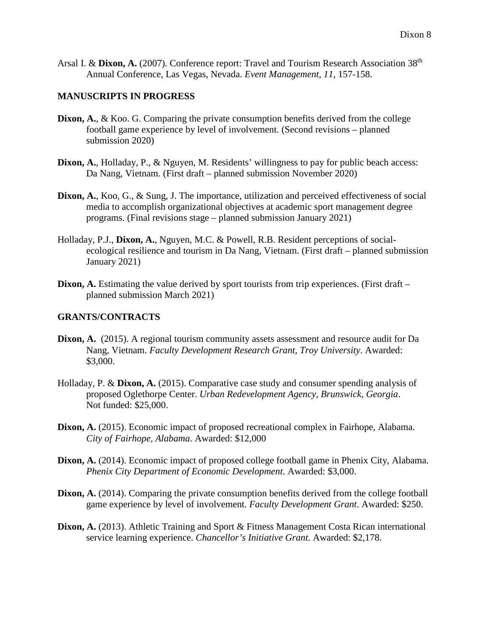Arsal I. & **Dixon, A.** (2007). Conference report: Travel and Tourism Research Association 38<sup>th</sup> Annual Conference, Las Vegas, Nevada. *Event Management, 11*, 157-158.

#### **MANUSCRIPTS IN PROGRESS**

- **Dixon, A.**, & Koo. G. Comparing the private consumption benefits derived from the college football game experience by level of involvement. (Second revisions – planned submission 2020)
- **Dixon, A.**, Holladay, P., & Nguyen, M. Residents' willingness to pay for public beach access: Da Nang, Vietnam. (First draft – planned submission November 2020)
- **Dixon, A.**, Koo, G., & Sung, J. The importance, utilization and perceived effectiveness of social media to accomplish organizational objectives at academic sport management degree programs. (Final revisions stage – planned submission January 2021)
- Holladay, P.J., **Dixon, A.**, Nguyen, M.C. & Powell, R.B. Resident perceptions of socialecological resilience and tourism in Da Nang, Vietnam. (First draft – planned submission January 2021)
- **Dixon, A.** Estimating the value derived by sport tourists from trip experiences. (First draft planned submission March 2021)

## **GRANTS/CONTRACTS**

- **Dixon, A.** (2015). A regional tourism community assets assessment and resource audit for Da Nang, Vietnam. *Faculty Development Research Grant, Troy University*. Awarded: \$3,000.
- Holladay, P. & **Dixon, A.** (2015). Comparative case study and consumer spending analysis of proposed Oglethorpe Center. *Urban Redevelopment Agency, Brunswick, Georgia*. Not funded: \$25,000.
- **Dixon, A.** (2015). Economic impact of proposed recreational complex in Fairhope, Alabama. *City of Fairhope, Alabama*. Awarded: \$12,000
- **Dixon, A.** (2014). Economic impact of proposed college football game in Phenix City, Alabama. *Phenix City Department of Economic Development*. Awarded: \$3,000.
- **Dixon, A.** (2014). Comparing the private consumption benefits derived from the college football game experience by level of involvement. *Faculty Development Grant*. Awarded: \$250.
- **Dixon, A.** (2013). Athletic Training and Sport & Fitness Management Costa Rican international service learning experience. *Chancellor's Initiative Grant*. Awarded: \$2,178.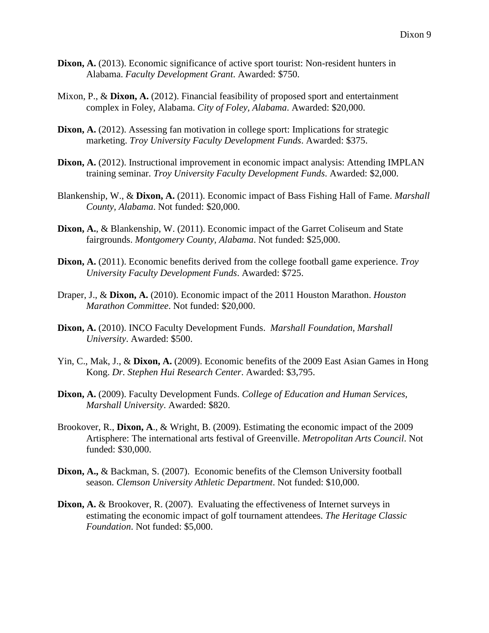- **Dixon, A.** (2013). Economic significance of active sport tourist: Non-resident hunters in Alabama. *Faculty Development Grant*. Awarded: \$750.
- Mixon, P., & **Dixon, A.** (2012). Financial feasibility of proposed sport and entertainment complex in Foley, Alabama. *City of Foley, Alabama*. Awarded: \$20,000.
- **Dixon, A.** (2012). Assessing fan motivation in college sport: Implications for strategic marketing. *Troy University Faculty Development Funds*. Awarded: \$375.
- **Dixon, A.** (2012). Instructional improvement in economic impact analysis: Attending IMPLAN training seminar. *Troy University Faculty Development Funds*. Awarded: \$2,000.
- Blankenship, W., & **Dixon, A.** (2011). Economic impact of Bass Fishing Hall of Fame. *Marshall County, Alabama*. Not funded: \$20,000.
- **Dixon, A.**, & Blankenship, W. (2011). Economic impact of the Garret Coliseum and State fairgrounds. *Montgomery County, Alabama*. Not funded: \$25,000.
- **Dixon, A.** (2011). Economic benefits derived from the college football game experience. *Troy University Faculty Development Funds*. Awarded: \$725.
- Draper, J., & **Dixon, A.** (2010). Economic impact of the 2011 Houston Marathon. *Houston Marathon Committee*. Not funded: \$20,000.
- **Dixon, A.** (2010). INCO Faculty Development Funds. *Marshall Foundation, Marshall University*. Awarded: \$500.
- Yin, C., Mak, J., & **Dixon, A.** (2009). Economic benefits of the 2009 East Asian Games in Hong Kong. *Dr. Stephen Hui Research Center*. Awarded: \$3,795.
- **Dixon, A.** (2009). Faculty Development Funds. *College of Education and Human Services, Marshall University*. Awarded: \$820.
- Brookover, R., **Dixon, A**., & Wright, B. (2009). Estimating the economic impact of the 2009 Artisphere: The international arts festival of Greenville. *Metropolitan Arts Council*. Not funded: \$30,000.
- **Dixon, A.,** & Backman, S. (2007). Economic benefits of the Clemson University football season. *Clemson University Athletic Department*. Not funded: \$10,000.
- Dixon, A. & Brookover, R. (2007). Evaluating the effectiveness of Internet surveys in estimating the economic impact of golf tournament attendees. *The Heritage Classic Foundation*. Not funded: \$5,000.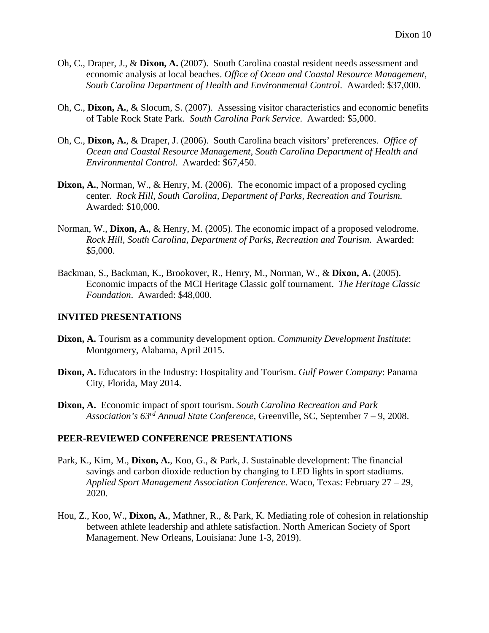- Oh, C., Draper, J., & **Dixon, A.** (2007). South Carolina coastal resident needs assessment and economic analysis at local beaches. *Office of Ocean and Coastal Resource Management, South Carolina Department of Health and Environmental Control*. Awarded: \$37,000.
- Oh, C., **Dixon, A.**, & Slocum, S. (2007). Assessing visitor characteristics and economic benefits of Table Rock State Park. *South Carolina Park Service*. Awarded: \$5,000.
- Oh, C., **Dixon, A.**, & Draper, J. (2006). South Carolina beach visitors' preferences. *Office of Ocean and Coastal Resource Management, South Carolina Department of Health and Environmental Control*. Awarded: \$67,450.
- **Dixon, A.**, Norman, W., & Henry, M. (2006). The economic impact of a proposed cycling center. *Rock Hill, South Carolina, Department of Parks, Recreation and Tourism.* Awarded: \$10,000.
- Norman, W., **Dixon, A.**, & Henry, M. (2005). The economic impact of a proposed velodrome. *Rock Hill, South Carolina, Department of Parks, Recreation and Tourism*. Awarded: \$5,000.
- Backman, S., Backman, K., Brookover, R., Henry, M., Norman, W., & **Dixon, A.** (2005). Economic impacts of the MCI Heritage Classic golf tournament. *The Heritage Classic Foundation*. Awarded: \$48,000.

#### **INVITED PRESENTATIONS**

- **Dixon, A.** Tourism as a community development option. *Community Development Institute*: Montgomery, Alabama, April 2015.
- **Dixon, A.** Educators in the Industry: Hospitality and Tourism. *Gulf Power Company*: Panama City, Florida, May 2014.
- **Dixon, A.** Economic impact of sport tourism. *South Carolina Recreation and Park Association's 63rd Annual State Conference*, Greenville, SC, September 7 – 9, 2008.

### **PEER-REVIEWED CONFERENCE PRESENTATIONS**

- Park, K., Kim, M., **Dixon, A.**, Koo, G., & Park, J. Sustainable development: The financial savings and carbon dioxide reduction by changing to LED lights in sport stadiums. *Applied Sport Management Association Conference*. Waco, Texas: February 27 – 29, 2020.
- Hou, Z., Koo, W., **Dixon, A.**, Mathner, R., & Park, K. Mediating role of cohesion in relationship between athlete leadership and athlete satisfaction. North American Society of Sport Management. New Orleans, Louisiana: June 1-3, 2019).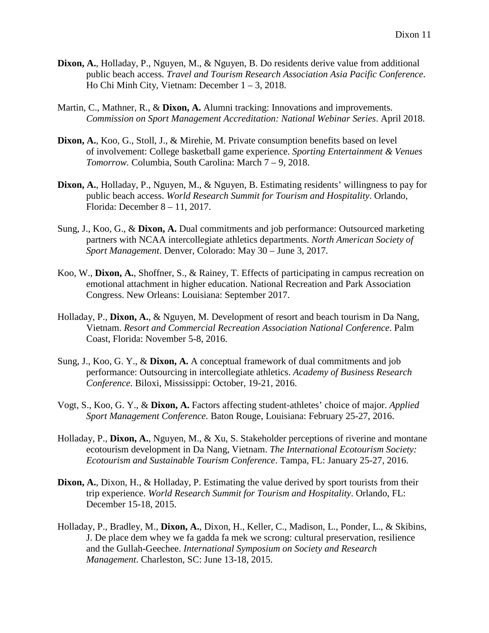- **Dixon, A.**, Holladay, P., Nguyen, M., & Nguyen, B. Do residents derive value from additional public beach access. *Travel and Tourism Research Association Asia Pacific Conference*. Ho Chi Minh City, Vietnam: December 1 – 3, 2018.
- Martin, C., Mathner, R., & **Dixon, A.** Alumni tracking: Innovations and improvements. *Commission on Sport Management Accreditation: National Webinar Series*. April 2018.
- **Dixon, A.**, Koo, G., Stoll, J., & Mirehie, M. Private consumption benefits based on level of involvement: College basketball game experience. *Sporting Entertainment & Venues Tomorrow.* Columbia, South Carolina: March 7 – 9, 2018.
- **Dixon, A.**, Holladay, P., Nguyen, M., & Nguyen, B. Estimating residents' willingness to pay for public beach access. *World Research Summit for Tourism and Hospitality*. Orlando, Florida: December 8 – 11, 2017.
- Sung, J., Koo, G., & **Dixon, A.** Dual commitments and job performance: Outsourced marketing partners with NCAA intercollegiate athletics departments. *North American Society of Sport Management*. Denver, Colorado: May 30 – June 3, 2017.
- Koo, W., **Dixon, A.**, Shoffner, S., & Rainey, T. Effects of participating in campus recreation on emotional attachment in higher education. National Recreation and Park Association Congress. New Orleans: Louisiana: September 2017.
- Holladay, P., **Dixon, A.**, & Nguyen, M. Development of resort and beach tourism in Da Nang, Vietnam. *Resort and Commercial Recreation Association National Conference*. Palm Coast, Florida: November 5-8, 2016.
- Sung, J., Koo, G. Y., & **Dixon, A.** A conceptual framework of dual commitments and job performance: Outsourcing in intercollegiate athletics. *Academy of Business Research Conference*. Biloxi, Mississippi: October, 19-21, 2016.
- Vogt, S., Koo, G. Y., & **Dixon, A.** Factors affecting student-athletes' choice of major. *Applied Sport Management Conference*. Baton Rouge, Louisiana: February 25-27, 2016.
- Holladay, P., **Dixon, A.**, Nguyen, M., & Xu, S. Stakeholder perceptions of riverine and montane ecotourism development in Da Nang, Vietnam. *The International Ecotourism Society: Ecotourism and Sustainable Tourism Conference*. Tampa, FL: January 25-27, 2016.
- **Dixon, A.**, Dixon, H., & Holladay, P. Estimating the value derived by sport tourists from their trip experience. *World Research Summit for Tourism and Hospitality*. Orlando, FL: December 15-18, 2015.
- Holladay, P., Bradley, M., **Dixon, A.**, Dixon, H., Keller, C., Madison, L., Ponder, L., & Skibins, J. De place dem whey we fa gadda fa mek we scrong: cultural preservation, resilience and the Gullah-Geechee. *International Symposium on Society and Research Management*. Charleston, SC: June 13-18, 2015.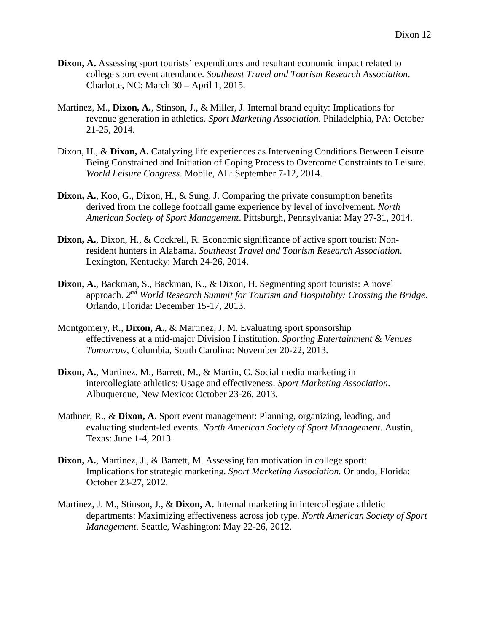- **Dixon, A.** Assessing sport tourists' expenditures and resultant economic impact related to college sport event attendance. *Southeast Travel and Tourism Research Association*. Charlotte, NC: March 30 – April 1, 2015.
- Martinez, M., **Dixon, A.**, Stinson, J., & Miller, J. Internal brand equity: Implications for revenue generation in athletics. *Sport Marketing Association*. Philadelphia, PA: October 21-25, 2014.
- Dixon, H., & **Dixon, A.** Catalyzing life experiences as Intervening Conditions Between Leisure Being Constrained and Initiation of Coping Process to Overcome Constraints to Leisure. *World Leisure Congress*. Mobile, AL: September 7-12, 2014.
- **Dixon, A.**, Koo, G., Dixon, H., & Sung, J. Comparing the private consumption benefits derived from the college football game experience by level of involvement. *North American Society of Sport Management*. Pittsburgh, Pennsylvania: May 27-31, 2014.
- **Dixon, A.**, Dixon, H., & Cockrell, R. Economic significance of active sport tourist: Nonresident hunters in Alabama. *Southeast Travel and Tourism Research Association*. Lexington, Kentucky: March 24-26, 2014.
- **Dixon, A.**, Backman, S., Backman, K., & Dixon, H. Segmenting sport tourists: A novel approach. *2nd World Research Summit for Tourism and Hospitality: Crossing the Bridge*. Orlando, Florida: December 15-17, 2013.
- Montgomery, R., **Dixon, A.**, & Martinez, J. M. Evaluating sport sponsorship effectiveness at a mid-major Division I institution. *Sporting Entertainment & Venues Tomorrow*, Columbia, South Carolina: November 20-22, 2013.
- **Dixon, A.**, Martinez, M., Barrett, M., & Martin, C. Social media marketing in intercollegiate athletics: Usage and effectiveness. *Sport Marketing Association*. Albuquerque, New Mexico: October 23-26, 2013.
- Mathner, R., & **Dixon, A.** Sport event management: Planning, organizing, leading, and evaluating student-led events. *North American Society of Sport Management*. Austin, Texas: June 1-4, 2013.
- **Dixon, A.**, Martinez, J., & Barrett, M. Assessing fan motivation in college sport: Implications for strategic marketing. *Sport Marketing Association.* Orlando, Florida: October 23-27, 2012.
- Martinez, J. M., Stinson, J., & **Dixon, A.** Internal marketing in intercollegiate athletic departments: Maximizing effectiveness across job type. *North American Society of Sport Management*. Seattle, Washington: May 22-26, 2012.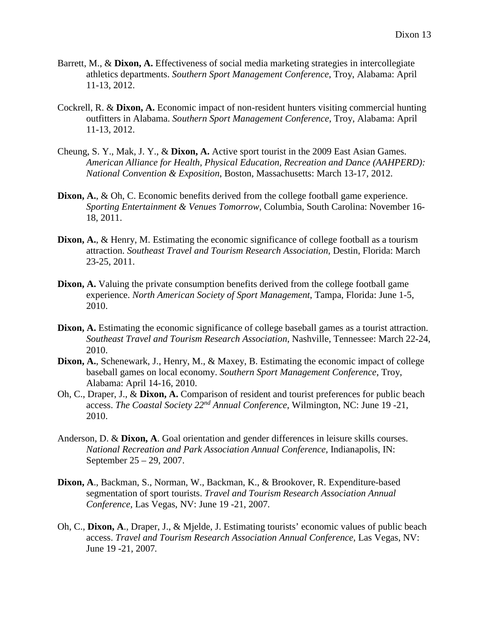- Barrett, M., & **Dixon, A.** Effectiveness of social media marketing strategies in intercollegiate athletics departments. *Southern Sport Management Conference*, Troy, Alabama: April 11-13, 2012.
- Cockrell, R. & **Dixon, A.** Economic impact of non-resident hunters visiting commercial hunting outfitters in Alabama. *Southern Sport Management Conference*, Troy, Alabama: April 11-13, 2012.
- Cheung, S. Y., Mak, J. Y., & **Dixon, A.** Active sport tourist in the 2009 East Asian Games. *American Alliance for Health, Physical Education, Recreation and Dance (AAHPERD): National Convention & Exposition*, Boston, Massachusetts: March 13-17, 2012.
- **Dixon, A.**, & Oh, C. Economic benefits derived from the college football game experience. *Sporting Entertainment & Venues Tomorrow*, Columbia, South Carolina: November 16- 18, 2011.
- **Dixon, A., & Henry, M. Estimating the economic significance of college football as a tourism** attraction. *Southeast Travel and Tourism Research Association*, Destin, Florida: March 23-25, 2011.
- **Dixon, A.** Valuing the private consumption benefits derived from the college football game experience. *North American Society of Sport Management*, Tampa, Florida: June 1-5, 2010.
- **Dixon, A.** Estimating the economic significance of college baseball games as a tourist attraction. *Southeast Travel and Tourism Research Association*, Nashville, Tennessee: March 22-24, 2010.
- **Dixon, A.**, Schenewark, J., Henry, M., & Maxey, B. Estimating the economic impact of college baseball games on local economy. *Southern Sport Management Conference*, Troy, Alabama: April 14-16, 2010.
- Oh, C., Draper, J., & **Dixon, A.** Comparison of resident and tourist preferences for public beach access. *The Coastal Society 22nd Annual Conference*, Wilmington, NC: June 19 -21, 2010.
- Anderson, D. & **Dixon, A**. Goal orientation and gender differences in leisure skills courses. *National Recreation and Park Association Annual Conference,* Indianapolis, IN: September 25 – 29, 2007.
- **Dixon, A**., Backman, S., Norman, W., Backman, K., & Brookover, R. Expenditure-based segmentation of sport tourists. *Travel and Tourism Research Association Annual Conference,* Las Vegas, NV: June 19 -21, 2007*.*
- Oh, C., **Dixon, A**., Draper, J., & Mjelde, J. Estimating tourists' economic values of public beach access. *Travel and Tourism Research Association Annual Conference,* Las Vegas, NV: June 19 -21, 2007*.*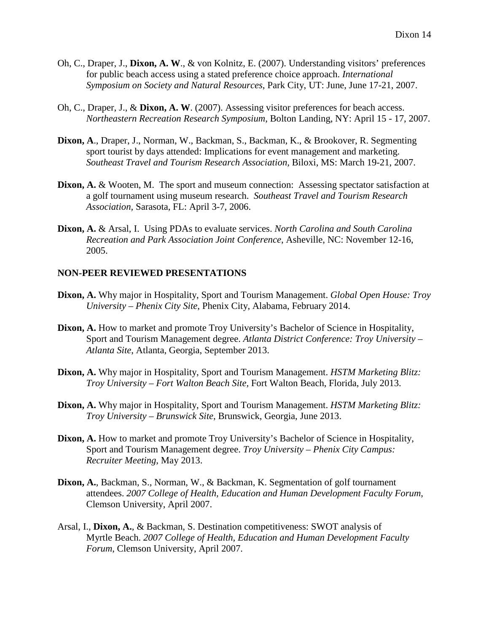- Oh, C., Draper, J., **Dixon, A. W**., & von Kolnitz, E. (2007). Understanding visitors' preferences for public beach access using a stated preference choice approach. *International Symposium on Society and Natural Resources*, Park City, UT: June, June 17-21, 2007.
- Oh, C., Draper, J., & **Dixon, A. W**. (2007). Assessing visitor preferences for beach access. *Northeastern Recreation Research Symposium*, Bolton Landing, NY: April 15 - 17, 2007.
- **Dixon, A**., Draper, J., Norman, W., Backman, S., Backman, K., & Brookover, R. Segmenting sport tourist by days attended: Implications for event management and marketing. *Southeast Travel and Tourism Research Association,* Biloxi, MS: March 19-21, 2007.
- **Dixon, A. & Wooten, M. The sport and museum connection: Assessing spectator satisfaction at** a golf tournament using museum research. *Southeast Travel and Tourism Research Association,* Sarasota, FL: April 3-7, 2006.
- **Dixon, A.** & Arsal, I. Using PDAs to evaluate services. *North Carolina and South Carolina Recreation and Park Association Joint Conference*, Asheville, NC: November 12-16, 2005.

#### **NON-PEER REVIEWED PRESENTATIONS**

- **Dixon, A.** Why major in Hospitality, Sport and Tourism Management. *Global Open House: Troy University – Phenix City Site*, Phenix City, Alabama, February 2014.
- **Dixon, A.** How to market and promote Troy University's Bachelor of Science in Hospitality, Sport and Tourism Management degree. *Atlanta District Conference: Troy University – Atlanta Site*, Atlanta, Georgia, September 2013.
- **Dixon, A.** Why major in Hospitality, Sport and Tourism Management. *HSTM Marketing Blitz: Troy University – Fort Walton Beach Site,* Fort Walton Beach, Florida, July 2013.
- **Dixon, A.** Why major in Hospitality, Sport and Tourism Management. *HSTM Marketing Blitz: Troy University – Brunswick Site*, Brunswick, Georgia, June 2013.
- **Dixon, A.** How to market and promote Troy University's Bachelor of Science in Hospitality, Sport and Tourism Management degree. *Troy University – Phenix City Campus: Recruiter Meeting*, May 2013.
- **Dixon, A.**, Backman, S., Norman, W., & Backman, K. Segmentation of golf tournament attendees. *2007 College of Health, Education and Human Development Faculty Forum*, Clemson University, April 2007.
- Arsal, I., **Dixon, A.**, & Backman, S. Destination competitiveness: SWOT analysis of Myrtle Beach. *2007 College of Health, Education and Human Development Faculty Forum*, Clemson University, April 2007.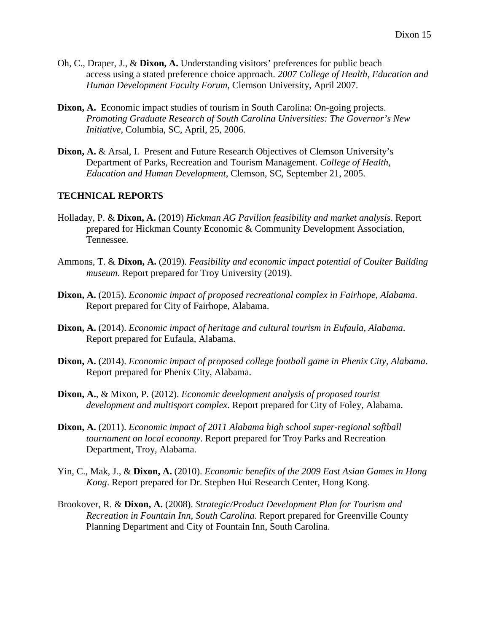- Oh, C., Draper, J., & **Dixon, A.** Understanding visitors' preferences for public beach access using a stated preference choice approach. *2007 College of Health, Education and Human Development Faculty Forum*, Clemson University, April 2007.
- **Dixon, A.** Economic impact studies of tourism in South Carolina: On-going projects. *Promoting Graduate Research of South Carolina Universities: The Governor's New Initiative*, Columbia, SC, April, 25, 2006.
- **Dixon, A.** & Arsal, I. Present and Future Research Objectives of Clemson University's Department of Parks, Recreation and Tourism Management. *College of Health, Education and Human Development*, Clemson, SC, September 21, 2005.

### **TECHNICAL REPORTS**

- Holladay, P. & **Dixon, A.** (2019) *Hickman AG Pavilion feasibility and market analysis*. Report prepared for Hickman County Economic & Community Development Association, Tennessee.
- Ammons, T. & **Dixon, A.** (2019). *Feasibility and economic impact potential of Coulter Building museum*. Report prepared for Troy University (2019).
- **Dixon, A.** (2015). *Economic impact of proposed recreational complex in Fairhope, Alabama*. Report prepared for City of Fairhope, Alabama.
- **Dixon, A.** (2014). *Economic impact of heritage and cultural tourism in Eufaula, Alabama*. Report prepared for Eufaula, Alabama.
- **Dixon, A.** (2014). *Economic impact of proposed college football game in Phenix City, Alabama*. Report prepared for Phenix City, Alabama.
- **Dixon, A.**, & Mixon, P. (2012). *Economic development analysis of proposed tourist development and multisport complex*. Report prepared for City of Foley, Alabama.
- **Dixon, A.** (2011). *Economic impact of 2011 Alabama high school super-regional softball tournament on local economy*. Report prepared for Troy Parks and Recreation Department, Troy, Alabama.
- Yin, C., Mak, J., & **Dixon, A.** (2010). *Economic benefits of the 2009 East Asian Games in Hong Kong*. Report prepared for Dr. Stephen Hui Research Center, Hong Kong.
- Brookover, R. & **Dixon, A.** (2008). *Strategic/Product Development Plan for Tourism and Recreation in Fountain Inn, South Carolina*. Report prepared for Greenville County Planning Department and City of Fountain Inn, South Carolina.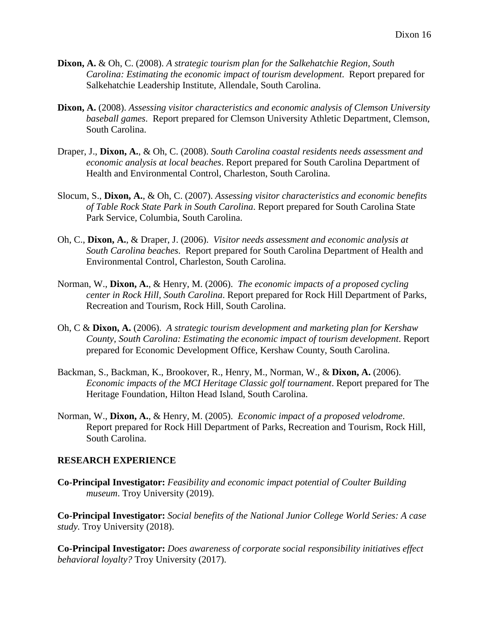- **Dixon, A.** & Oh, C. (2008). *A strategic tourism plan for the Salkehatchie Region, South Carolina: Estimating the economic impact of tourism development*. Report prepared for Salkehatchie Leadership Institute, Allendale, South Carolina.
- **Dixon, A.** (2008). *Assessing visitor characteristics and economic analysis of Clemson University baseball games*. Report prepared for Clemson University Athletic Department, Clemson, South Carolina.
- Draper, J., **Dixon, A.**, & Oh, C. (2008). *South Carolina coastal residents needs assessment and economic analysis at local beaches*. Report prepared for South Carolina Department of Health and Environmental Control, Charleston, South Carolina.
- Slocum, S., **Dixon, A.**, & Oh, C. (2007). *Assessing visitor characteristics and economic benefits of Table Rock State Park in South Carolina*. Report prepared for South Carolina State Park Service, Columbia, South Carolina.
- Oh, C., **Dixon, A.**, & Draper, J. (2006). *Visitor needs assessment and economic analysis at South Carolina beaches*. Report prepared for South Carolina Department of Health and Environmental Control, Charleston, South Carolina.
- Norman, W., **Dixon, A.**, & Henry, M. (2006). *The economic impacts of a proposed cycling center in Rock Hill, South Carolina*. Report prepared for Rock Hill Department of Parks, Recreation and Tourism, Rock Hill, South Carolina.
- Oh, C & **Dixon, A.** (2006). *A strategic tourism development and marketing plan for Kershaw County, South Carolina: Estimating the economic impact of tourism development*. Report prepared for Economic Development Office, Kershaw County, South Carolina.
- Backman, S., Backman, K., Brookover, R., Henry, M., Norman, W., & **Dixon, A.** (2006). *Economic impacts of the MCI Heritage Classic golf tournament*. Report prepared for The Heritage Foundation, Hilton Head Island, South Carolina.
- Norman, W., **Dixon, A.**, & Henry, M. (2005). *Economic impact of a proposed velodrome*. Report prepared for Rock Hill Department of Parks, Recreation and Tourism, Rock Hill, South Carolina.

### **RESEARCH EXPERIENCE**

**Co-Principal Investigator:** *Feasibility and economic impact potential of Coulter Building museum*. Troy University (2019).

**Co-Principal Investigator:** *Social benefits of the National Junior College World Series: A case study.* Troy University (2018).

**Co-Principal Investigator:** *Does awareness of corporate social responsibility initiatives effect behavioral loyalty?* Troy University (2017).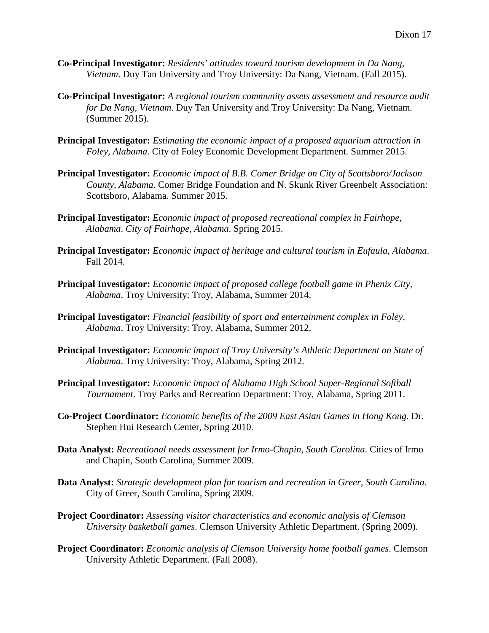- **Co-Principal Investigator:** *Residents' attitudes toward tourism development in Da Nang, Vietnam*. Duy Tan University and Troy University: Da Nang, Vietnam. (Fall 2015).
- **Co-Principal Investigator:** *A regional tourism community assets assessment and resource audit for Da Nang, Vietnam*. Duy Tan University and Troy University: Da Nang, Vietnam. (Summer 2015).
- **Principal Investigator:** *Estimating the economic impact of a proposed aquarium attraction in Foley, Alabama*. City of Foley Economic Development Department. Summer 2015.
- **Principal Investigator:** *Economic impact of B.B. Comer Bridge on City of Scottsboro/Jackson County, Alabama*. Comer Bridge Foundation and N. Skunk River Greenbelt Association: Scottsboro, Alabama. Summer 2015.
- **Principal Investigator:** *Economic impact of proposed recreational complex in Fairhope, Alabama*. *City of Fairhope, Alabama*. Spring 2015.
- **Principal Investigator:** *Economic impact of heritage and cultural tourism in Eufaula, Alabama*. Fall 2014.
- **Principal Investigator:** *Economic impact of proposed college football game in Phenix City, Alabama*. Troy University: Troy, Alabama, Summer 2014.
- **Principal Investigator:** *Financial feasibility of sport and entertainment complex in Foley, Alabama*. Troy University: Troy, Alabama, Summer 2012.
- **Principal Investigator:** *Economic impact of Troy University's Athletic Department on State of Alabama*. Troy University: Troy, Alabama, Spring 2012.
- **Principal Investigator:** *Economic impact of Alabama High School Super-Regional Softball Tournament*. Troy Parks and Recreation Department: Troy, Alabama, Spring 2011.
- **Co-Project Coordinator:** *Economic benefits of the 2009 East Asian Games in Hong Kong.* Dr. Stephen Hui Research Center, Spring 2010.
- **Data Analyst:** *Recreational needs assessment for Irmo-Chapin, South Carolina*. Cities of Irmo and Chapin, South Carolina, Summer 2009.
- **Data Analyst:** *Strategic development plan for tourism and recreation in Greer, South Carolina.* City of Greer, South Carolina, Spring 2009.
- **Project Coordinator:** *Assessing visitor characteristics and economic analysis of Clemson University basketball games*. Clemson University Athletic Department. (Spring 2009).
- **Project Coordinator:** *Economic analysis of Clemson University home football games*. Clemson University Athletic Department. (Fall 2008).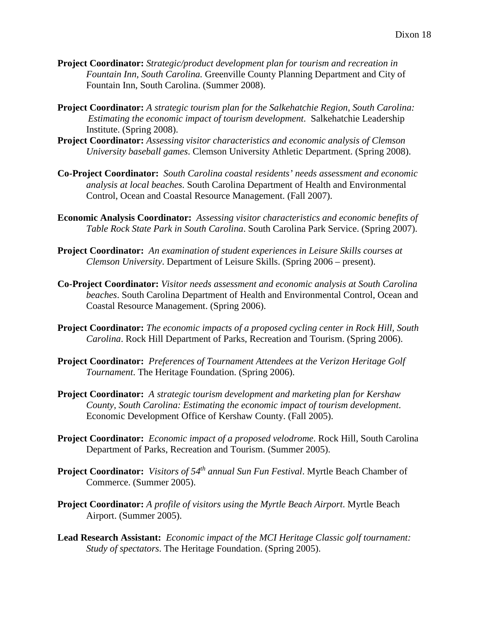- **Project Coordinator:** *Strategic/product development plan for tourism and recreation in Fountain Inn, South Carolina.* Greenville County Planning Department and City of Fountain Inn, South Carolina. (Summer 2008).
- **Project Coordinator:** *A strategic tourism plan for the Salkehatchie Region, South Carolina: Estimating the economic impact of tourism development*. Salkehatchie Leadership Institute. (Spring 2008).
- **Project Coordinator:** *Assessing visitor characteristics and economic analysis of Clemson University baseball games*. Clemson University Athletic Department. (Spring 2008).
- **Co-Project Coordinator:** *South Carolina coastal residents' needs assessment and economic analysis at local beaches.* South Carolina Department of Health and Environmental Control, Ocean and Coastal Resource Management. (Fall 2007).
- **Economic Analysis Coordinator:** *Assessing visitor characteristics and economic benefits of Table Rock State Park in South Carolina*. South Carolina Park Service. (Spring 2007).
- **Project Coordinator:** *An examination of student experiences in Leisure Skills courses at Clemson University*. Department of Leisure Skills. (Spring 2006 – present).
- **Co-Project Coordinator:** *Visitor needs assessment and economic analysis at South Carolina beaches*. South Carolina Department of Health and Environmental Control, Ocean and Coastal Resource Management. (Spring 2006).
- **Project Coordinator:** *The economic impacts of a proposed cycling center in Rock Hill, South Carolina*. Rock Hill Department of Parks, Recreation and Tourism. (Spring 2006).
- **Project Coordinator:** *Preferences of Tournament Attendees at the Verizon Heritage Golf Tournament*. The Heritage Foundation. (Spring 2006).
- **Project Coordinator:** *A strategic tourism development and marketing plan for Kershaw County, South Carolina: Estimating the economic impact of tourism development*. Economic Development Office of Kershaw County. (Fall 2005).
- **Project Coordinator:** *Economic impact of a proposed velodrome*. Rock Hill, South Carolina Department of Parks, Recreation and Tourism. (Summer 2005).
- **Project Coordinator:** *Visitors of 54th annual Sun Fun Festival*. Myrtle Beach Chamber of Commerce. (Summer 2005).
- **Project Coordinator:** *A profile of visitors using the Myrtle Beach Airport*. Myrtle Beach Airport. (Summer 2005).
- **Lead Research Assistant:** *Economic impact of the MCI Heritage Classic golf tournament: Study of spectators*. The Heritage Foundation. (Spring 2005).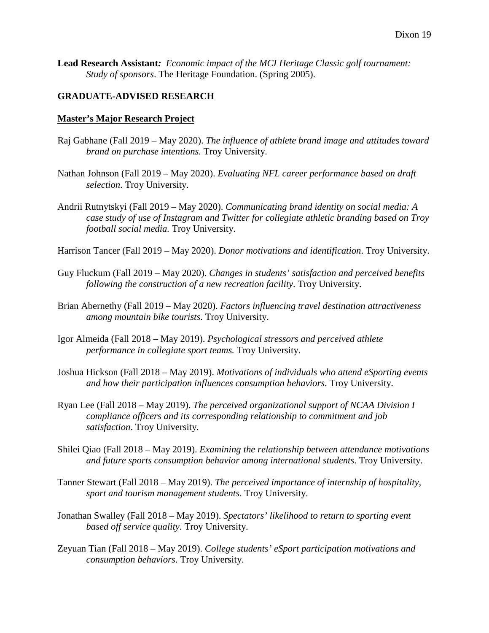**Lead Research Assistant***: Economic impact of the MCI Heritage Classic golf tournament: Study of sponsors*. The Heritage Foundation. (Spring 2005).

### **GRADUATE-ADVISED RESEARCH**

#### **Master's Major Research Project**

- Raj Gabhane (Fall 2019 May 2020). *The influence of athlete brand image and attitudes toward brand on purchase intentions.* Troy University.
- Nathan Johnson (Fall 2019 May 2020). *Evaluating NFL career performance based on draft selection*. Troy University.
- Andrii Rutnytskyi (Fall 2019 May 2020). *Communicating brand identity on social media: A case study of use of Instagram and Twitter for collegiate athletic branding based on Troy football social media.* Troy University.

Harrison Tancer (Fall 2019 – May 2020). *Donor motivations and identification*. Troy University.

- Guy Fluckum (Fall 2019 May 2020). *Changes in students' satisfaction and perceived benefits following the construction of a new recreation facility*. Troy University.
- Brian Abernethy (Fall 2019 May 2020). *Factors influencing travel destination attractiveness among mountain bike tourists*. Troy University.
- Igor Almeida (Fall 2018 May 2019). *Psychological stressors and perceived athlete performance in collegiate sport teams.* Troy University.
- Joshua Hickson (Fall 2018 May 2019). *Motivations of individuals who attend eSporting events and how their participation influences consumption behaviors*. Troy University.
- Ryan Lee (Fall 2018 May 2019). *The perceived organizational support of NCAA Division I compliance officers and its corresponding relationship to commitment and job satisfaction*. Troy University.
- Shilei Qiao (Fall 2018 May 2019). *Examining the relationship between attendance motivations and future sports consumption behavior among international students*. Troy University.
- Tanner Stewart (Fall 2018 May 2019). *The perceived importance of internship of hospitality, sport and tourism management students*. Troy University.
- Jonathan Swalley (Fall 2018 May 2019). *Spectators' likelihood to return to sporting event based off service quality*. Troy University.
- Zeyuan Tian (Fall 2018 May 2019). *College students' eSport participation motivations and consumption behaviors*. Troy University.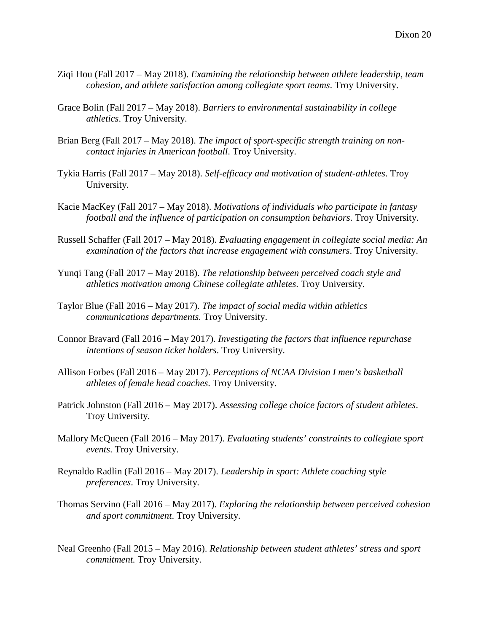- Ziqi Hou (Fall 2017 May 2018). *Examining the relationship between athlete leadership, team cohesion, and athlete satisfaction among collegiate sport teams*. Troy University.
- Grace Bolin (Fall 2017 May 2018). *Barriers to environmental sustainability in college athletics*. Troy University.
- Brian Berg (Fall 2017 May 2018). *The impact of sport-specific strength training on noncontact injuries in American football*. Troy University.
- Tykia Harris (Fall 2017 May 2018). *Self-efficacy and motivation of student-athletes*. Troy University.
- Kacie MacKey (Fall 2017 May 2018). *Motivations of individuals who participate in fantasy football and the influence of participation on consumption behaviors*. Troy University.
- Russell Schaffer (Fall 2017 May 2018). *Evaluating engagement in collegiate social media: An examination of the factors that increase engagement with consumers*. Troy University.
- Yunqi Tang (Fall 2017 May 2018). *The relationship between perceived coach style and athletics motivation among Chinese collegiate athletes*. Troy University.
- Taylor Blue (Fall 2016 May 2017). *The impact of social media within athletics communications departments.* Troy University.
- Connor Bravard (Fall 2016 May 2017). *Investigating the factors that influence repurchase intentions of season ticket holders*. Troy University.
- Allison Forbes (Fall 2016 May 2017). *Perceptions of NCAA Division I men's basketball athletes of female head coaches*. Troy University.
- Patrick Johnston (Fall 2016 May 2017). *Assessing college choice factors of student athletes*. Troy University.
- Mallory McQueen (Fall 2016 May 2017). *Evaluating students' constraints to collegiate sport events*. Troy University.
- Reynaldo Radlin (Fall 2016 May 2017). *Leadership in sport: Athlete coaching style preferences*. Troy University.
- Thomas Servino (Fall 2016 May 2017). *Exploring the relationship between perceived cohesion and sport commitment*. Troy University.
- Neal Greenho (Fall 2015 May 2016). *Relationship between student athletes' stress and sport commitment.* Troy University.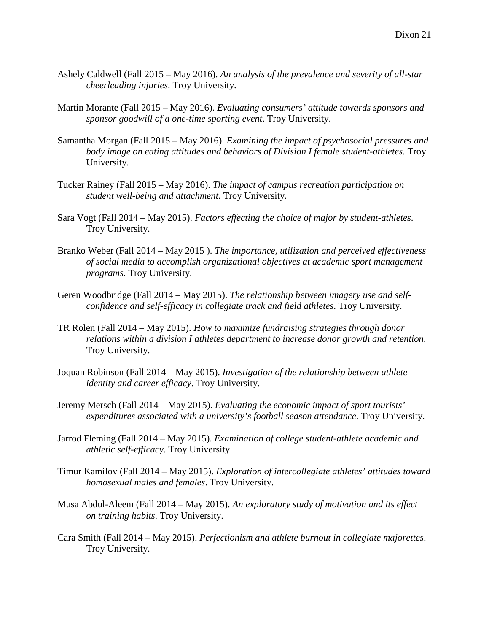- Ashely Caldwell (Fall 2015 May 2016). *An analysis of the prevalence and severity of all-star cheerleading injuries*. Troy University.
- Martin Morante (Fall 2015 May 2016). *Evaluating consumers' attitude towards sponsors and sponsor goodwill of a one-time sporting event*. Troy University.
- Samantha Morgan (Fall 2015 May 2016). *Examining the impact of psychosocial pressures and body image on eating attitudes and behaviors of Division I female student-athletes*. Troy University.
- Tucker Rainey (Fall 2015 May 2016). *The impact of campus recreation participation on student well-being and attachment.* Troy University.
- Sara Vogt (Fall 2014 May 2015). *Factors effecting the choice of major by student-athletes*. Troy University.
- Branko Weber (Fall 2014 May 2015 ). *The importance, utilization and perceived effectiveness of social media to accomplish organizational objectives at academic sport management programs*. Troy University.
- Geren Woodbridge (Fall 2014 May 2015). *The relationship between imagery use and selfconfidence and self-efficacy in collegiate track and field athletes*. Troy University.
- TR Rolen (Fall 2014 May 2015). *How to maximize fundraising strategies through donor relations within a division I athletes department to increase donor growth and retention*. Troy University.
- Joquan Robinson (Fall 2014 May 2015). *Investigation of the relationship between athlete identity and career efficacy*. Troy University.
- Jeremy Mersch (Fall 2014 May 2015). *Evaluating the economic impact of sport tourists' expenditures associated with a university's football season attendance*. Troy University.
- Jarrod Fleming (Fall 2014 May 2015). *Examination of college student-athlete academic and athletic self-efficacy*. Troy University.
- Timur Kamilov (Fall 2014 May 2015). *Exploration of intercollegiate athletes' attitudes toward homosexual males and females*. Troy University.
- Musa Abdul-Aleem (Fall 2014 May 2015). *An exploratory study of motivation and its effect on training habits*. Troy University.
- Cara Smith (Fall 2014 May 2015). *Perfectionism and athlete burnout in collegiate majorettes*. Troy University.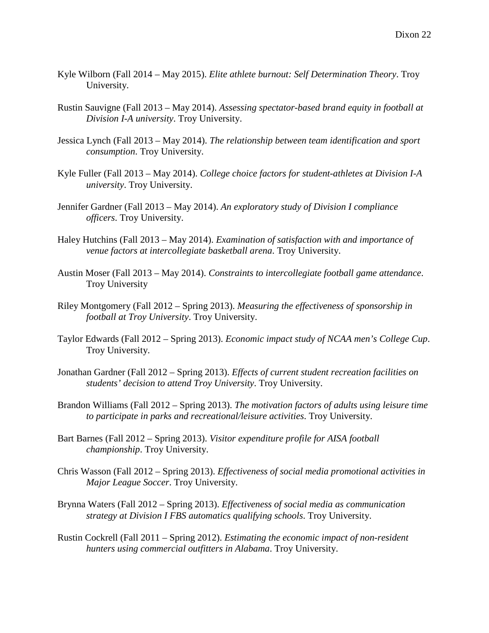- Kyle Wilborn (Fall 2014 May 2015). *Elite athlete burnout: Self Determination Theory*. Troy University.
- Rustin Sauvigne (Fall 2013 May 2014). *Assessing spectator-based brand equity in football at Division I-A university*. Troy University.
- Jessica Lynch (Fall 2013 May 2014). *The relationship between team identification and sport consumption*. Troy University.
- Kyle Fuller (Fall 2013 May 2014). *College choice factors for student-athletes at Division I-A university*. Troy University.
- Jennifer Gardner (Fall 2013 May 2014). *An exploratory study of Division I compliance officers*. Troy University.
- Haley Hutchins (Fall 2013 May 2014). *Examination of satisfaction with and importance of venue factors at intercollegiate basketball arena*. Troy University.
- Austin Moser (Fall 2013 May 2014). *Constraints to intercollegiate football game attendance*. Troy University
- Riley Montgomery (Fall 2012 Spring 2013). *Measuring the effectiveness of sponsorship in football at Troy University*. Troy University.
- Taylor Edwards (Fall 2012 Spring 2013). *Economic impact study of NCAA men's College Cup*. Troy University.
- Jonathan Gardner (Fall 2012 Spring 2013). *Effects of current student recreation facilities on students' decision to attend Troy University*. Troy University.
- Brandon Williams (Fall 2012 Spring 2013). *The motivation factors of adults using leisure time to participate in parks and recreational/leisure activities*. Troy University.
- Bart Barnes (Fall 2012 Spring 2013). *Visitor expenditure profile for AISA football championship*. Troy University.
- Chris Wasson (Fall 2012 Spring 2013). *Effectiveness of social media promotional activities in Major League Soccer*. Troy University.
- Brynna Waters (Fall 2012 Spring 2013). *Effectiveness of social media as communication strategy at Division I FBS automatics qualifying schools*. Troy University.
- Rustin Cockrell (Fall 2011 Spring 2012). *Estimating the economic impact of non-resident hunters using commercial outfitters in Alabama*. Troy University.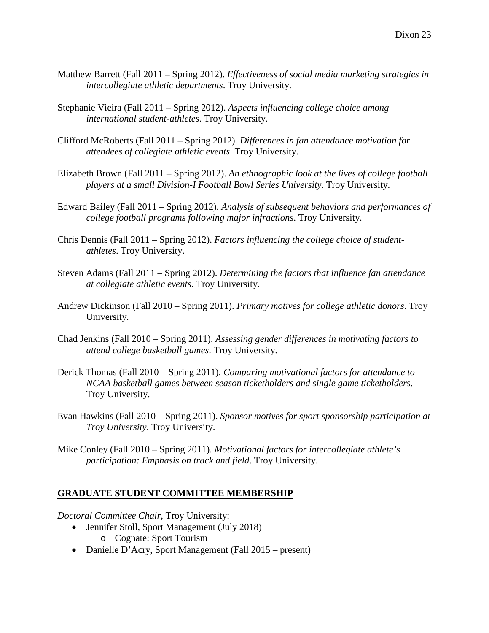- Matthew Barrett (Fall 2011 Spring 2012). *Effectiveness of social media marketing strategies in intercollegiate athletic departments*. Troy University.
- Stephanie Vieira (Fall 2011 Spring 2012). *Aspects influencing college choice among international student-athletes*. Troy University.
- Clifford McRoberts (Fall 2011 Spring 2012). *Differences in fan attendance motivation for attendees of collegiate athletic events*. Troy University.
- Elizabeth Brown (Fall 2011 Spring 2012). *An ethnographic look at the lives of college football players at a small Division-I Football Bowl Series University*. Troy University.
- Edward Bailey (Fall 2011 Spring 2012). *Analysis of subsequent behaviors and performances of college football programs following major infractions*. Troy University.
- Chris Dennis (Fall 2011 Spring 2012). *Factors influencing the college choice of studentathletes*. Troy University.
- Steven Adams (Fall 2011 Spring 2012). *Determining the factors that influence fan attendance at collegiate athletic events*. Troy University.
- Andrew Dickinson (Fall 2010 Spring 2011). *Primary motives for college athletic donors*. Troy University.
- Chad Jenkins (Fall 2010 Spring 2011). *Assessing gender differences in motivating factors to attend college basketball games*. Troy University.
- Derick Thomas (Fall 2010 Spring 2011). *Comparing motivational factors for attendance to NCAA basketball games between season ticketholders and single game ticketholders*. Troy University.
- Evan Hawkins (Fall 2010 Spring 2011). *Sponsor motives for sport sponsorship participation at Troy University*. Troy University.
- Mike Conley (Fall 2010 Spring 2011). *Motivational factors for intercollegiate athlete's participation: Emphasis on track and field*. Troy University.

## **GRADUATE STUDENT COMMITTEE MEMBERSHIP**

*Doctoral Committee Chair,* Troy University:

- Jennifer Stoll, Sport Management (July 2018) o Cognate: Sport Tourism
- Danielle D'Acry, Sport Management (Fall 2015 present)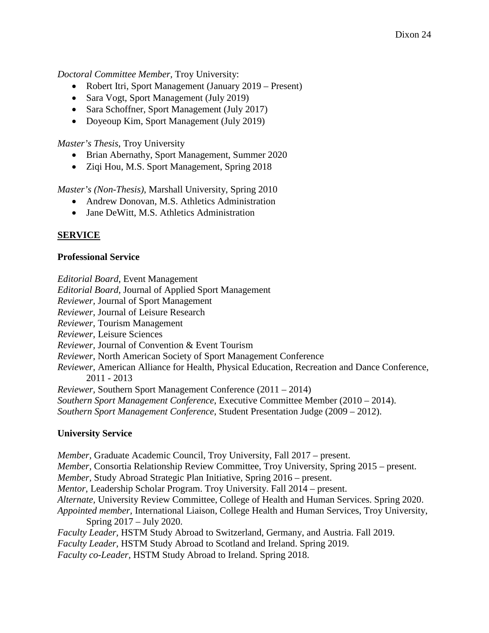*Doctoral Committee Member,* Troy University:

- Robert Itri, Sport Management (January 2019 Present)
- Sara Vogt, Sport Management (July 2019)
- Sara Schoffner, Sport Management (July 2017)
- Doyeoup Kim, Sport Management (July 2019)

*Master's Thesis*, Troy University

- Brian Abernathy, Sport Management, Summer 2020
- Ziqi Hou, M.S. Sport Management, Spring 2018

*Master's (Non-Thesis)*, Marshall University, Spring 2010

- Andrew Donovan, M.S. Athletics Administration
- Jane DeWitt, M.S. Athletics Administration

# **SERVICE**

### **Professional Service**

*Editorial Board*, Event Management

*Editorial Board*, Journal of Applied Sport Management

*Reviewer,* Journal of Sport Management

*Reviewer*, Journal of Leisure Research

*Reviewer*, Tourism Management

*Reviewer*, Leisure Sciences

*Reviewer,* Journal of Convention & Event Tourism

*Reviewer*, North American Society of Sport Management Conference

*Reviewer*, American Alliance for Health, Physical Education, Recreation and Dance Conference, 2011 - 2013

*Reviewer,* Southern Sport Management Conference (2011 – 2014)

*Southern Sport Management Conference*, Executive Committee Member (2010 – 2014).

*Southern Sport Management Conference*, Student Presentation Judge (2009 – 2012).

## **University Service**

*Member,* Graduate Academic Council, Troy University, Fall 2017 – present. *Member,* Consortia Relationship Review Committee, Troy University, Spring 2015 – present. *Member,* Study Abroad Strategic Plan Initiative, Spring 2016 – present. *Mentor,* Leadership Scholar Program. Troy University. Fall 2014 – present. *Alternate,* University Review Committee, College of Health and Human Services. Spring 2020. *Appointed member,* International Liaison, College Health and Human Services, Troy University, Spring 2017 – July 2020. *Faculty Leader,* HSTM Study Abroad to Switzerland, Germany, and Austria. Fall 2019. *Faculty Leader,* HSTM Study Abroad to Scotland and Ireland. Spring 2019. *Faculty co-Leader,* HSTM Study Abroad to Ireland. Spring 2018.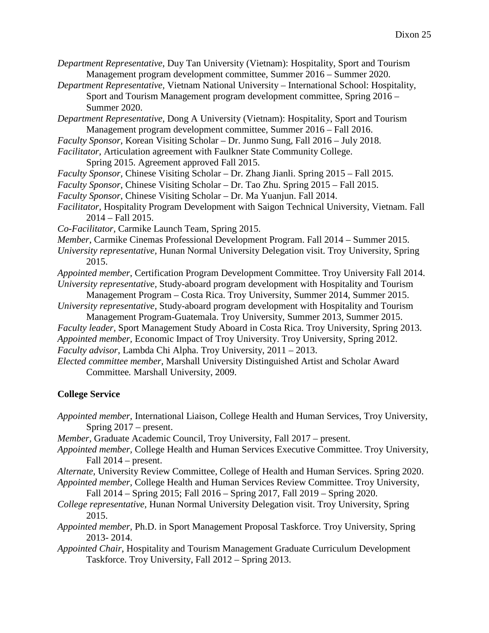*Department Representative*, Duy Tan University (Vietnam): Hospitality, Sport and Tourism Management program development committee, Summer 2016 – Summer 2020.

- *Department Representative,* Vietnam National University International School: Hospitality, Sport and Tourism Management program development committee, Spring 2016 – Summer 2020.
- *Department Representative*, Dong A University (Vietnam): Hospitality, Sport and Tourism Management program development committee, Summer 2016 – Fall 2016.

*Faculty Sponsor*, Korean Visiting Scholar – Dr. Junmo Sung, Fall 2016 – July 2018.

*Facilitator,* Articulation agreement with Faulkner State Community College.

Spring 2015. Agreement approved Fall 2015.

*Faculty Sponsor,* Chinese Visiting Scholar – Dr. Zhang Jianli. Spring 2015 – Fall 2015.

- *Faculty Sponsor*, Chinese Visiting Scholar Dr. Tao Zhu. Spring 2015 Fall 2015.
- *Faculty Sponsor*, Chinese Visiting Scholar Dr. Ma Yuanjun. Fall 2014.

*Facilitator,* Hospitality Program Development with Saigon Technical University, Vietnam. Fall 2014 – Fall 2015.

*Co-Facilitator,* Carmike Launch Team, Spring 2015.

*Member*, Carmike Cinemas Professional Development Program. Fall 2014 – Summer 2015.

*University representative,* Hunan Normal University Delegation visit. Troy University, Spring 2015.

*Appointed member*, Certification Program Development Committee. Troy University Fall 2014. *University representative,* Study-aboard program development with Hospitality and Tourism

Management Program – Costa Rica. Troy University, Summer 2014, Summer 2015. *University representative,* Study-aboard program development with Hospitality and Tourism

Management Program-Guatemala. Troy University, Summer 2013, Summer 2015. *Faculty leader,* Sport Management Study Aboard in Costa Rica. Troy University, Spring 2013. *Appointed member,* Economic Impact of Troy University. Troy University, Spring 2012.

*Faculty advisor*, Lambda Chi Alpha. Troy University, 2011 – 2013.

*Elected committee member,* Marshall University Distinguished Artist and Scholar Award Committee*.* Marshall University, 2009.

### **College Service**

*Appointed member,* International Liaison, College Health and Human Services, Troy University, Spring 2017 – present.

*Member,* Graduate Academic Council, Troy University, Fall 2017 – present.

*Appointed member,* College Health and Human Services Executive Committee. Troy University, Fall 2014 – present.

*Alternate,* University Review Committee, College of Health and Human Services. Spring 2020.

*Appointed member,* College Health and Human Services Review Committee. Troy University, Fall 2014 – Spring 2015; Fall 2016 – Spring 2017, Fall 2019 – Spring 2020.

*College representative,* Hunan Normal University Delegation visit. Troy University, Spring 2015.

*Appointed member,* Ph.D. in Sport Management Proposal Taskforce. Troy University, Spring 2013- 2014.

*Appointed Chair*, Hospitality and Tourism Management Graduate Curriculum Development Taskforce. Troy University, Fall 2012 – Spring 2013.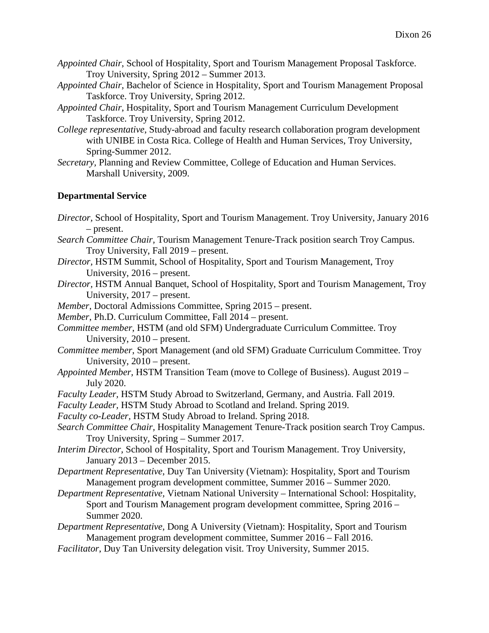- *Appointed Chair*, School of Hospitality, Sport and Tourism Management Proposal Taskforce. Troy University, Spring 2012 – Summer 2013.
- *Appointed Chair*, Bachelor of Science in Hospitality, Sport and Tourism Management Proposal Taskforce. Troy University, Spring 2012.
- *Appointed Chair*, Hospitality, Sport and Tourism Management Curriculum Development Taskforce. Troy University, Spring 2012.
- *College representative*, Study-abroad and faculty research collaboration program development with UNIBE in Costa Rica. College of Health and Human Services, Troy University, Spring-Summer 2012.
- *Secretary,* Planning and Review Committee, College of Education and Human Services. Marshall University, 2009.

### **Departmental Service**

- *Director,* School of Hospitality, Sport and Tourism Management. Troy University, January 2016 – present.
- *Search Committee Chair,* Tourism Management Tenure-Track position search Troy Campus. Troy University, Fall 2019 – present.
- *Director,* HSTM Summit, School of Hospitality, Sport and Tourism Management, Troy University, 2016 – present.
- *Director,* HSTM Annual Banquet, School of Hospitality, Sport and Tourism Management, Troy University, 2017 – present.
- *Member*, Doctoral Admissions Committee, Spring 2015 present.
- *Member*, Ph.D. Curriculum Committee, Fall 2014 present.
- *Committee member*, HSTM (and old SFM) Undergraduate Curriculum Committee. Troy University, 2010 – present.
- *Committee member*, Sport Management (and old SFM) Graduate Curriculum Committee. Troy University, 2010 – present.
- *Appointed Member,* HSTM Transition Team (move to College of Business). August 2019 July 2020.
- *Faculty Leader,* HSTM Study Abroad to Switzerland, Germany, and Austria. Fall 2019.
- *Faculty Leader,* HSTM Study Abroad to Scotland and Ireland. Spring 2019.
- *Faculty co-Leader,* HSTM Study Abroad to Ireland. Spring 2018.
- *Search Committee Chair,* Hospitality Management Tenure-Track position search Troy Campus. Troy University, Spring – Summer 2017.
- *Interim Director,* School of Hospitality, Sport and Tourism Management. Troy University, January 2013 – December 2015.
- *Department Representative*, Duy Tan University (Vietnam): Hospitality, Sport and Tourism Management program development committee, Summer 2016 – Summer 2020.
- *Department Representative,* Vietnam National University International School: Hospitality, Sport and Tourism Management program development committee, Spring 2016 – Summer 2020.
- *Department Representative*, Dong A University (Vietnam): Hospitality, Sport and Tourism Management program development committee, Summer 2016 – Fall 2016.
- *Facilitator*, Duy Tan University delegation visit. Troy University, Summer 2015.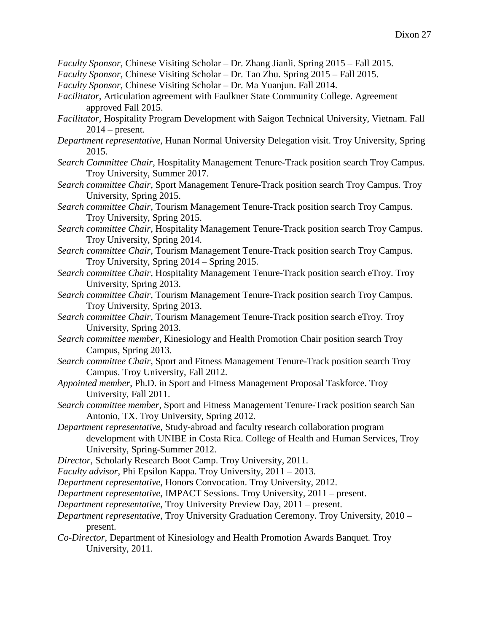- *Faculty Sponsor,* Chinese Visiting Scholar Dr. Zhang Jianli. Spring 2015 Fall 2015.
- *Faculty Sponsor*, Chinese Visiting Scholar Dr. Tao Zhu. Spring 2015 Fall 2015.
- *Faculty Sponsor*, Chinese Visiting Scholar Dr. Ma Yuanjun. Fall 2014.
- *Facilitator,* Articulation agreement with Faulkner State Community College. Agreement approved Fall 2015.
- *Facilitator,* Hospitality Program Development with Saigon Technical University, Vietnam. Fall  $2014$  – present.
- *Department representative,* Hunan Normal University Delegation visit. Troy University, Spring 2015.
- *Search Committee Chair*, Hospitality Management Tenure-Track position search Troy Campus. Troy University, Summer 2017.
- *Search committee Chair*, Sport Management Tenure-Track position search Troy Campus. Troy University, Spring 2015.
- *Search committee Chair,* Tourism Management Tenure-Track position search Troy Campus. Troy University, Spring 2015.
- *Search committee Chair,* Hospitality Management Tenure-Track position search Troy Campus. Troy University, Spring 2014.
- *Search committee Chair,* Tourism Management Tenure-Track position search Troy Campus. Troy University, Spring 2014 – Spring 2015.
- *Search committee Chair,* Hospitality Management Tenure-Track position search eTroy. Troy University, Spring 2013.
- *Search committee Chair*, Tourism Management Tenure-Track position search Troy Campus. Troy University, Spring 2013.
- *Search committee Chair*, Tourism Management Tenure-Track position search eTroy. Troy University, Spring 2013.
- *Search committee member*, Kinesiology and Health Promotion Chair position search Troy Campus, Spring 2013.
- *Search committee Chair*, Sport and Fitness Management Tenure-Track position search Troy Campus. Troy University, Fall 2012.
- *Appointed member*, Ph.D. in Sport and Fitness Management Proposal Taskforce. Troy University, Fall 2011.
- *Search committee member*, Sport and Fitness Management Tenure-Track position search San Antonio, TX. Troy University, Spring 2012.
- *Department representative*, Study-abroad and faculty research collaboration program development with UNIBE in Costa Rica. College of Health and Human Services, Troy University, Spring-Summer 2012.
- *Director*, Scholarly Research Boot Camp. Troy University, 2011.
- *Faculty advisor*, Phi Epsilon Kappa. Troy University, 2011 2013.
- *Department representative,* Honors Convocation. Troy University, 2012.
- *Department representative*, IMPACT Sessions. Troy University, 2011 present.
- *Department representative*, Troy University Preview Day, 2011 present.
- *Department representative*, Troy University Graduation Ceremony. Troy University, 2010 present.
- *Co-Director*, Department of Kinesiology and Health Promotion Awards Banquet. Troy University, 2011.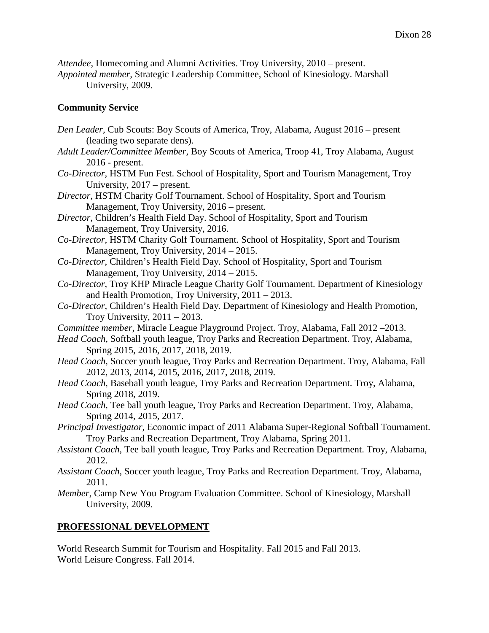*Attendee*, Homecoming and Alumni Activities. Troy University, 2010 – present.

*Appointed member,* Strategic Leadership Committee*,* School of Kinesiology. Marshall University, 2009.

## **Community Service**

- *Den Leader,* Cub Scouts: Boy Scouts of America, Troy, Alabama, August 2016 present (leading two separate dens).
- *Adult Leader/Committee Member,* Boy Scouts of America, Troop 41, Troy Alabama, August 2016 - present.
- *Co-Director,* HSTM Fun Fest. School of Hospitality, Sport and Tourism Management, Troy University, 2017 – present.
- *Director,* HSTM Charity Golf Tournament. School of Hospitality, Sport and Tourism Management, Troy University, 2016 – present.
- *Director*, Children's Health Field Day. School of Hospitality, Sport and Tourism Management, Troy University, 2016.
- *Co-Director,* HSTM Charity Golf Tournament. School of Hospitality, Sport and Tourism Management, Troy University, 2014 – 2015.
- *Co-Director*, Children's Health Field Day. School of Hospitality, Sport and Tourism Management, Troy University, 2014 – 2015.
- *Co-Director*, Troy KHP Miracle League Charity Golf Tournament. Department of Kinesiology and Health Promotion, Troy University, 2011 – 2013.
- *Co-Director*, Children's Health Field Day. Department of Kinesiology and Health Promotion, Troy University,  $2011 - 2013$ .
- *Committee member*, Miracle League Playground Project. Troy, Alabama, Fall 2012 –2013.
- *Head Coach*, Softball youth league, Troy Parks and Recreation Department. Troy, Alabama, Spring 2015, 2016, 2017, 2018, 2019.
- *Head Coach*, Soccer youth league, Troy Parks and Recreation Department. Troy, Alabama, Fall 2012, 2013, 2014, 2015, 2016, 2017, 2018, 2019.
- *Head Coach*, Baseball youth league, Troy Parks and Recreation Department. Troy, Alabama, Spring 2018, 2019.
- *Head Coach*, Tee ball youth league, Troy Parks and Recreation Department. Troy, Alabama, Spring 2014, 2015, 2017.
- *Principal Investigator*, Economic impact of 2011 Alabama Super-Regional Softball Tournament. Troy Parks and Recreation Department, Troy Alabama, Spring 2011.
- *Assistant Coach*, Tee ball youth league, Troy Parks and Recreation Department. Troy, Alabama, 2012.
- *Assistant Coach*, Soccer youth league, Troy Parks and Recreation Department. Troy, Alabama, 2011.
- *Member*, Camp New You Program Evaluation Committee. School of Kinesiology, Marshall University, 2009.

# **PROFESSIONAL DEVELOPMENT**

World Research Summit for Tourism and Hospitality. Fall 2015 and Fall 2013. World Leisure Congress. Fall 2014.